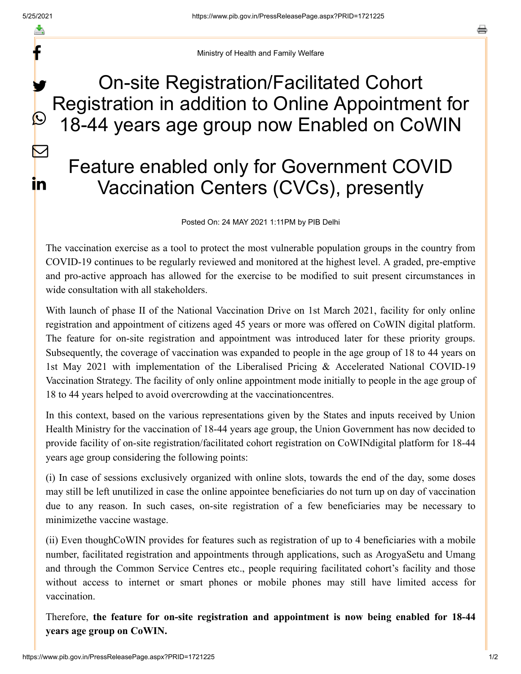f

 $\bigcirc$ 

 $\boxtimes$ 

**in** 

a

Ministry of Health and Family Welfare

## On-site Registration/Facilitated Cohort Registration in addition to Online Appointment for 18-44 years age group now Enabled on CoWIN y.

## Feature enabled only for Government COVID Vaccination Centers (CVCs), presently

Posted On: 24 MAY 2021 1:11PM by PIB Delhi

The vaccination exercise as a tool to protect the most vulnerable population groups in the country from COVID-19 continues to be regularly reviewed and monitored at the highest level. A graded, pre-emptive and pro-active approach has allowed for the exercise to be modified to suit present circumstances in wide consultation with all stakeholders.

With launch of phase II of the National Vaccination Drive on 1st March 2021, facility for only online registration and appointment of citizens aged 45 years or more was offered on CoWIN digital platform. The feature for on-site registration and appointment was introduced later for these priority groups. Subsequently, the coverage of vaccination was expanded to people in the age group of 18 to 44 years on 1st May 2021 with implementation of the Liberalised Pricing & Accelerated National COVID-19 Vaccination Strategy. The facility of only online appointment mode initially to people in the age group of 18 to 44 years helped to avoid overcrowding at the vaccinationcentres.

In this context, based on the various representations given by the States and inputs received by Union Health Ministry for the vaccination of 18-44 years age group, the Union Government has now decided to provide facility of on-site registration/facilitated cohort registration on CoWINdigital platform for 18-44 years age group considering the following points:

(i) In case of sessions exclusively organized with online slots, towards the end of the day, some doses may still be left unutilized in case the online appointee beneficiaries do not turn up on day of vaccination due to any reason. In such cases, on-site registration of a few beneficiaries may be necessary to minimizethe vaccine wastage.

(ii) Even thoughCoWIN provides for features such as registration of up to 4 beneficiaries with a mobile number, facilitated registration and appointments through applications, such as ArogyaSetu and Umang and through the Common Service Centres etc., people requiring facilitated cohort's facility and those without access to internet or smart phones or mobile phones may still have limited access for vaccination.

Therefore, **the feature for on-site registration and appointment is now being enabled for 18-44 years age group on CoWIN.**